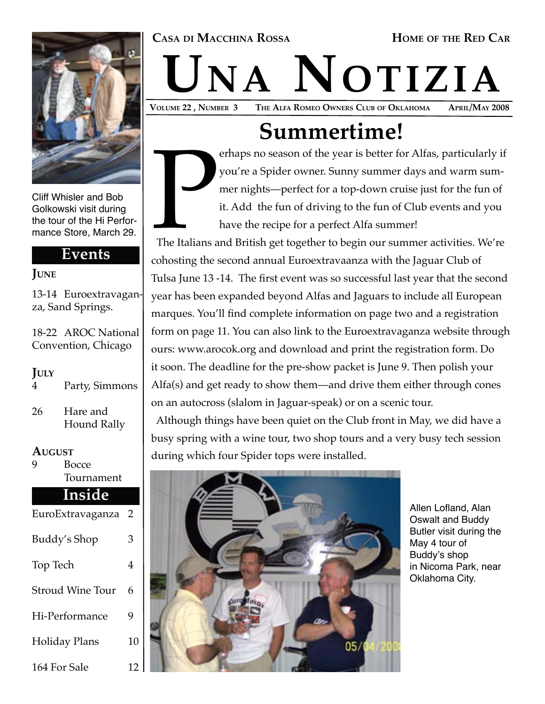#### CASA DI MACCHINA ROSSA **HOME** OF THE RED CAR



Cliff Whisler and Bob Golkowski visit during the tour of the Hi Performance Store, March 29.

#### **Events**

#### **JUNE**

13-14 Euroextravaganza, Sand Springs.

18-22 AROC National Convention, Chicago

#### **JULY**

- 4 Party, Simmons
- 26 Hare and Hound Rally

## **AUGUST**<br>9<br>Bc

**Bocce** Tournament

#### **Inside**

| EuroExtravaganza        | 2  |
|-------------------------|----|
| Buddy's Shop            | 3  |
| Top Tech                | 4  |
| <b>Stroud Wine Tour</b> | 6  |
| Hi-Performance          | 9  |
| <b>Holiday Plans</b>    | 10 |
| 164 For Sale            | 12 |

# VOLUME 22, NUMBER 3 THE ALFA ROMEO OWNERS CLUB OF OKLAHOMA APRIL/MAY 2008

THE ALFA ROMEO OWNERS CLUB OF OKLAHOMA

## **Summertime!**

The Italians a erhaps no season of the year is better for Alfas, particularly if you're a Spider owner. Sunny summer days and warm summer nights—perfect for a top-down cruise just for the fun of it. Add the fun of driving to the fun of Club events and you have the recipe for a perfect Alfa summer!

 The Italians and British get together to begin our summer activities. We're cohosting the second annual Euroextravaanza with the Jaguar Club of Tulsa June 13 -14. The first event was so successful last year that the second year has been expanded beyond Alfas and Jaguars to include all European marques. You'll find complete information on page two and a registration form on page 11. You can also link to the Euroextravaganza website through ours: www.arocok.org and download and print the registration form. Do it soon. The deadline for the pre-show packet is June 9. Then polish your Alfa(s) and get ready to show them—and drive them either through cones on an autocross (slalom in Jaguar-speak) or on a scenic tour.

 Although things have been quiet on the Club front in May, we did have a busy spring with a wine tour, two shop tours and a very busy tech session during which four Spider tops were installed.



Allen Lofland, Alan Oswalt and Buddy Butler visit during the May 4 tour of Buddy's shop in Nicoma Park, near Oklahoma City.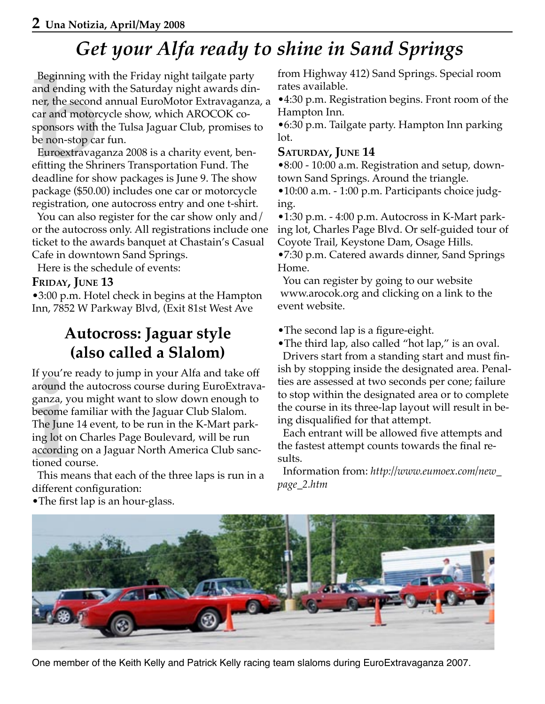## *Get your Alfa ready to shine in Sand Springs*

and ending wi<br>ner, the second<br>car and motorc<br>sponsors with<br>be non-stop ca<br>Euroextravag<br>efitting the Shr<br>deadline for sh<br>package (\$50.0 Beginning with the Friday night tailgate party and ending with the Saturday night awards dinner, the second annual EuroMotor Extravaganza, a car and motorcycle show, which AROCOK cosponsors with the Tulsa Jaguar Club, promises to be non-stop car fun.

 Euroextravaganza 2008 is a charity event, benefitting the Shriners Transportation Fund. The deadline for show packages is June 9. The show package (\$50.00) includes one car or motorcycle registration, one autocross entry and one t-shirt.

 You can also register for the car show only and/ or the autocross only. All registrations include one ticket to the awards banquet at Chastain's Casual Cafe in downtown Sand Springs.

Here is the schedule of events:

#### **FRIDAY, JUNE 13**

•3:00 p.m. Hotel check in begins at the Hampton Inn, 7852 W Parkway Blvd, (Exit 81st West Ave

> **Autocross: Jaguar style (also called a Slalom)**

around<br>ganza, y<br>become<br>The Jun<sub>u</sub><br>ing lot o<br>accordir<br>tioned c<br>This m<br>differen If you're ready to jump in your Alfa and take off around the autocross course during EuroExtravaganza, you might want to slow down enough to become familiar with the Jaguar Club Slalom. The June 14 event, to be run in the K-Mart parking lot on Charles Page Boulevard, will be run according on a Jaguar North America Club sanctioned course.

 This means that each of the three laps is run in a different configuration:

from Highway 412) Sand Springs. Special room rates available.

•4:30 p.m. Registration begins. Front room of the Hampton Inn.

•6:30 p.m. Tailgate party. Hampton Inn parking lot.

#### **SATURDAY, JUNE 14**

•8:00 - 10:00 a.m. Registration and setup, downtown Sand Springs. Around the triangle.

•10:00 a.m. - 1:00 p.m. Participants choice judging.

•1:30 p.m. - 4:00 p.m. Autocross in K-Mart parking lot, Charles Page Blvd. Or self-guided tour of Coyote Trail, Keystone Dam, Osage Hills.

•7:30 p.m. Catered awards dinner, Sand Springs Home.

 You can register by going to our website www.arocok.org and clicking on a link to the event website.

- •The second lap is a figure-eight.
- •The third lap, also called "hot lap," is an oval.

 Drivers start from a standing start and must finish by stopping inside the designated area. Penalties are assessed at two seconds per cone; failure to stop within the designated area or to complete the course in its three-lap layout will result in being disqualified for that attempt.

 Each entrant will be allowed five attempts and the fastest attempt counts towards the final results.

 Information from: *http://www.eumoex.com/new\_ page\_2.htm*



•The first lap is an hour-glass.

One member of the Keith Kelly and Patrick Kelly racing team slaloms during EuroExtravaganza 2007.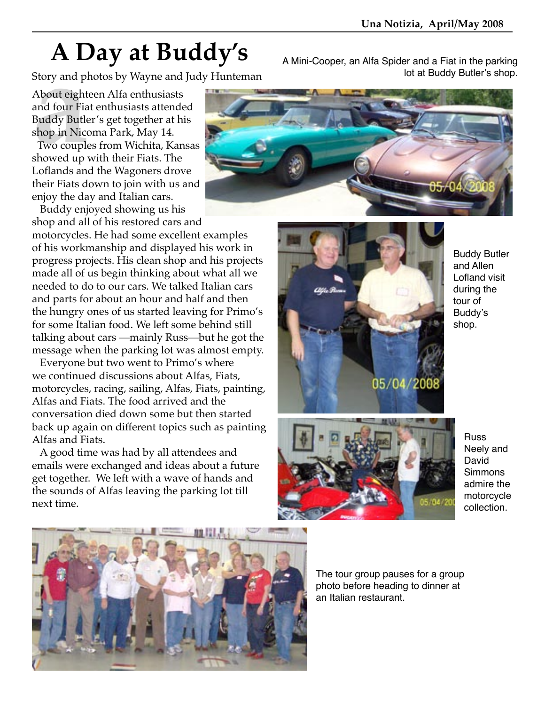# $\bf A$   $\bf Day$  at  $\bf Buddy's$  A Mini-Cooper, an Alfa Spider and a Fiat in the parking

Story and photos by Wayne and Judy Hunteman<br>About eighteen Alfa enthusiasts<br>and four Fiat enthusiasts attended<br>Buddy Butler's get together at his<br>shop in Nicoma Park, May 14.<br>Two couples from Wichita, Kansas<br>showed up with About eighteen Alfa enthusiasts and four Fiat enthusiasts attended Buddy Butler's get together at his shop in Nicoma Park, May 14.

 Two couples from Wichita, Kansas showed up with their Fiats. The Loflands and the Wagoners drove their Fiats down to join with us and enjoy the day and Italian cars.

Buddy enjoyed showing us his

shop and all of his restored cars and motorcycles. He had some excellent examples of his workmanship and displayed his work in progress projects. His clean shop and his projects made all of us begin thinking about what all we needed to do to our cars. We talked Italian cars and parts for about an hour and half and then the hungry ones of us started leaving for Primo's for some Italian food. We left some behind still talking about cars —mainly Russ—but he got the message when the parking lot was almost empty.

 Everyone but two went to Primo's where we continued discussions about Alfas, Fiats, motorcycles, racing, sailing, Alfas, Fiats, painting, Alfas and Fiats. The food arrived and the conversation died down some but then started back up again on different topics such as painting Alfas and Fiats.

 A good time was had by all attendees and emails were exchanged and ideas about a future get together. We left with a wave of hands and the sounds of Alfas leaving the parking lot till next time.





Buddy Butler and Allen Lofland visit during the tour of Buddy's shop.



Russ Neely and David **Simmons** admire the motorcycle collection.



The tour group pauses for a group photo before heading to dinner at an Italian restaurant.

lot at Buddy Butler's shop.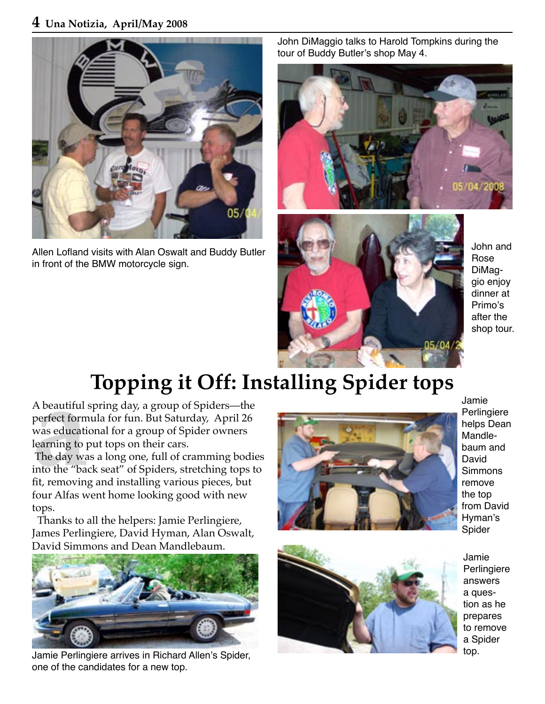#### **4 Una Notizia, April/May 2008**



Allen Lofland visits with Alan Oswalt and Buddy Butler in front of the BMW motorcycle sign.

John DiMaggio talks to Harold Tompkins during the tour of Buddy Butler's shop May 4.





John and Rose DiMaggio enjoy dinner at Primo's after the shop tour.

# **Topping it Off: Installing Spider tops**

A beautiful spring day, a group of Spiders—the perfect formula for fun. But Saturday, April 26 was educational for a group of Spider owners learning to put tops on their cars.

A beautiful<br>perfect form<br>was educati<br>learning to p<br>The day wa<br>into the "bau<br>fit, removing<br>four Alfas w The day was a long one, full of cramming bodies into the "back seat" of Spiders, stretching tops to fit, removing and installing various pieces, but four Alfas went home looking good with new tops.

 Thanks to all the helpers: Jamie Perlingiere, James Perlingiere, David Hyman, Alan Oswalt, David Simmons and Dean Mandlebaum.



Jamie Perlingiere arrives in Richard Allen's Spider, one of the candidates for a new top.



Jamie Perlingiere helps Dean Mandlebaum and David Simmons remove the top from David Hyman's Spider



Jamie Perlingiere answers a question as he prepares to remove a Spider top.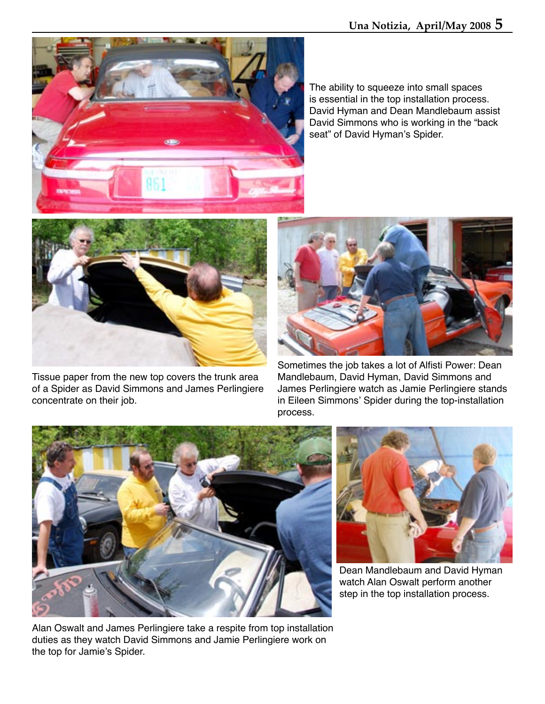



Tissue paper from the new top covers the trunk area of a Spider as David Simmons and James Perlingiere concentrate on their job.



Sometimes the job takes a lot of Alfisti Power: Dean Mandlebaum, David Hyman, David Simmons and James Perlingiere watch as Jamie Perlingiere stands in Eileen Simmons' Spider during the top-installation process.



Alan Oswalt and James Perlingiere take a respite from top installation duties as they watch David Simmons and Jamie Perlingiere work on the top for Jamie's Spider.



Dean Mandlebaum and David Hyman watch Alan Oswalt perform another step in the top installation process.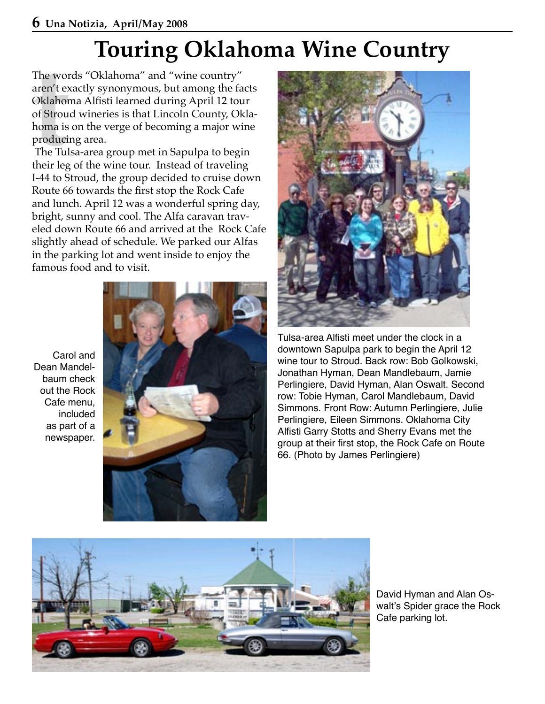# **Touring Oklahoma Wine Country**

The words "Oklahoma" and "wine country"<br>
aren't exactly synonymous, but among the fa<br>
Oklahoma Alfisti learned during April 12 tou<br>
of Stroud wineries is that Lincoln County, Ok<br>
homa is on the verge of becoming a major wi aren't exactly synonymous, but among the facts Oklahoma Alfisti learned during April 12 tour of Stroud wineries is that Lincoln County, Oklahoma is on the verge of becoming a major wine producing area.

 The Tulsa-area group met in Sapulpa to begin their leg of the wine tour. Instead of traveling I-44 to Stroud, the group decided to cruise down Route 66 towards the first stop the Rock Cafe and lunch. April 12 was a wonderful spring day, bright, sunny and cool. The Alfa caravan traveled down Route 66 and arrived at the Rock Cafe slightly ahead of schedule. We parked our Alfas in the parking lot and went inside to enjoy the famous food and to visit.

Carol and Dean Mandelbaum check out the Rock Cafe menu, included as part of a newspaper.





Tulsa-area Alfisti meet under the clock in a downtown Sapulpa park to begin the April 12 wine tour to Stroud. Back row: Bob Golkowski, Jonathan Hyman, Dean Mandlebaum, Jamie Perlingiere, David Hyman, Alan Oswalt. Second row: Tobie Hyman, Carol Mandlebaum, David Simmons. Front Row: Autumn Perlingiere, Julie Perlingiere, Eileen Simmons. Oklahoma City Alfisti Garry Stotts and Sherry Evans met the group at their first stop, the Rock Cafe on Route 66. (Photo by James Perlingiere)



David Hyman and Alan Oswalt's Spider grace the Rock Cafe parking lot.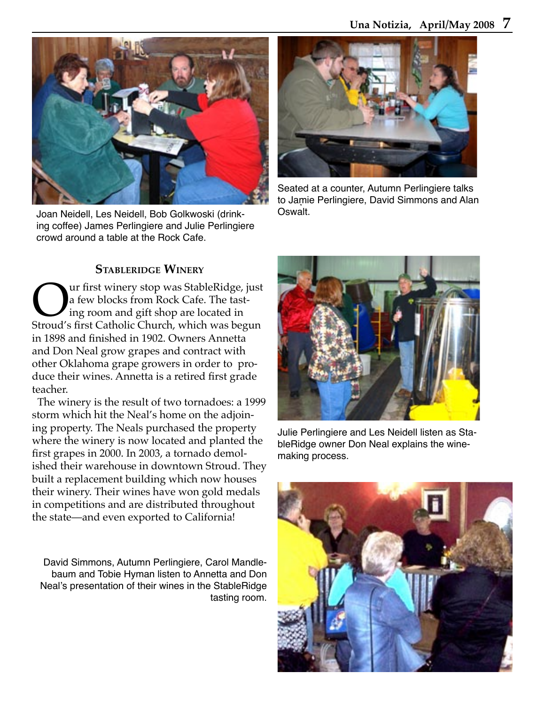

Joan Neidell, Les Neidell, Bob Golkwoski (drinking coffee) James Perlingiere and Julie Perlingiere crowd around a table at the Rock Cafe.



Seated at a counter, Autumn Perlingiere talks to Jamie Perlingiere, David Simmons and Alan Oswalt.

#### **STABLERIDGE WINERY**

Our first winery stop was StableRidge, just<br>
Ing room and gift shop are located in<br>
Stroud's first Catholic Church, which was begun a few blocks from Rock Cafe. The tasting room and gift shop are located in in 1898 and finished in 1902. Owners Annetta and Don Neal grow grapes and contract with other Oklahoma grape growers in order to produce their wines. Annetta is a retired first grade teacher.

 The winery is the result of two tornadoes: a 1999 storm which hit the Neal's home on the adjoining property. The Neals purchased the property where the winery is now located and planted the first grapes in 2000. In 2003, a tornado demolished their warehouse in downtown Stroud. They built a replacement building which now houses their winery. Their wines have won gold medals in competitions and are distributed throughout the state—and even exported to California!

David Simmons, Autumn Perlingiere, Carol Mandlebaum and Tobie Hyman listen to Annetta and Don Neal's presentation of their wines in the StableRidge tasting room.



Julie Perlingiere and Les Neidell listen as StableRidge owner Don Neal explains the winemaking process.

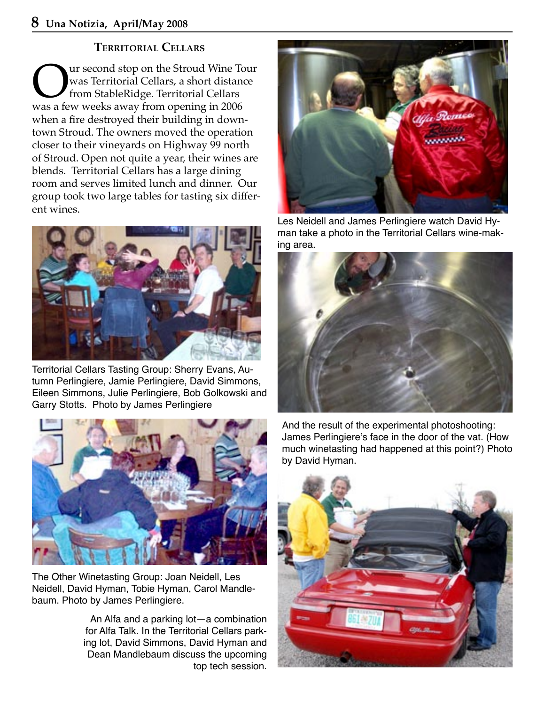#### **TERRITORIAL CELLARS**

**OURE SERVING SERVING STANDARY SERVING STANDARY STANDARY STANDARY STANDARY STANDARY STANDARY STANDARY STANDARY STANDARY STANDARY STANDARY STANDARY STANDARY STANDARY STANDARY STANDARY STANDARY STANDARY STANDARY STANDARY STA** was Territorial Cellars, a short distance from StableRidge. Territorial Cellars was a few weeks away from opening in 2006 when a fire destroyed their building in downtown Stroud. The owners moved the operation closer to their vineyards on Highway 99 north of Stroud. Open not quite a year, their wines are blends. Territorial Cellars has a large dining room and serves limited lunch and dinner. Our group took two large tables for tasting six different wines.



Territorial Cellars Tasting Group: Sherry Evans, Autumn Perlingiere, Jamie Perlingiere, David Simmons, Eileen Simmons, Julie Perlingiere, Bob Golkowski and Garry Stotts. Photo by James Perlingiere



The Other Winetasting Group: Joan Neidell, Les Neidell, David Hyman, Tobie Hyman, Carol Mandlebaum. Photo by James Perlingiere.

An Alfa and a parking lot—a combination for Alfa Talk. In the Territorial Cellars parking lot, David Simmons, David Hyman and Dean Mandlebaum discuss the upcoming top tech session.



Les Neidell and James Perlingiere watch David Hyman take a photo in the Territorial Cellars wine-making area.



And the result of the experimental photoshooting: James Perlingiere's face in the door of the vat. (How much winetasting had happened at this point?) Photo by David Hyman.

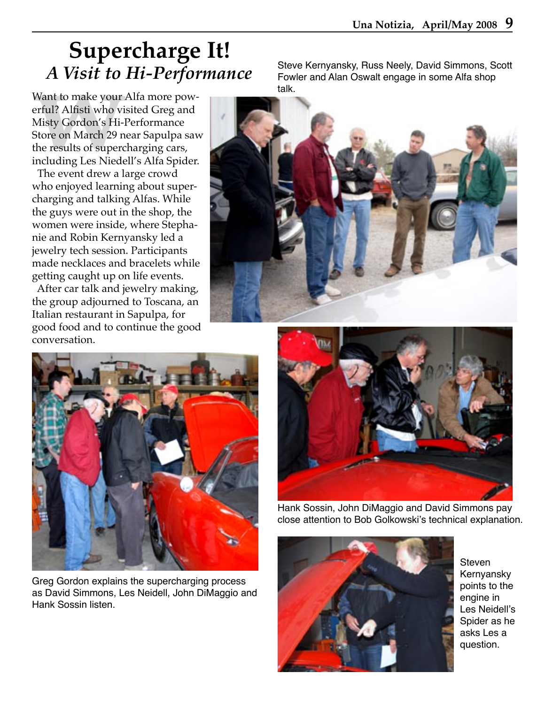## **Supercharge It!** *A Visit to Hi-Performance*

**A VISIT TO**<br>Want to make your *i*<br>erful? Alfisti who vis<br>Misty Gordon's Hi-I<br>Store on March 29 ne<br>the results of superc<br>including Les Niede<br>The event drew a la Want to make your Alfa more powerful? Alfisti who visited Greg and Misty Gordon's Hi-Performance Store on March 29 near Sapulpa saw the results of supercharging cars, including Les Niedell's Alfa Spider.

 The event drew a large crowd who enjoyed learning about supercharging and talking Alfas. While the guys were out in the shop, the women were inside, where Stephanie and Robin Kernyansky led a jewelry tech session. Participants made necklaces and bracelets while getting caught up on life events.

 After car talk and jewelry making, the group adjourned to Toscana, an Italian restaurant in Sapulpa, for good food and to continue the good conversation.

Steve Kernyansky, Russ Neely, David Simmons, Scott Fowler and Alan Oswalt engage in some Alfa shop talk.





Greg Gordon explains the supercharging process as David Simmons, Les Neidell, John DiMaggio and Hank Sossin listen.



Hank Sossin, John DiMaggio and David Simmons pay close attention to Bob Golkowski's technical explanation.



Steven Kernyansky points to the engine in Les Neidell's Spider as he asks Les a question.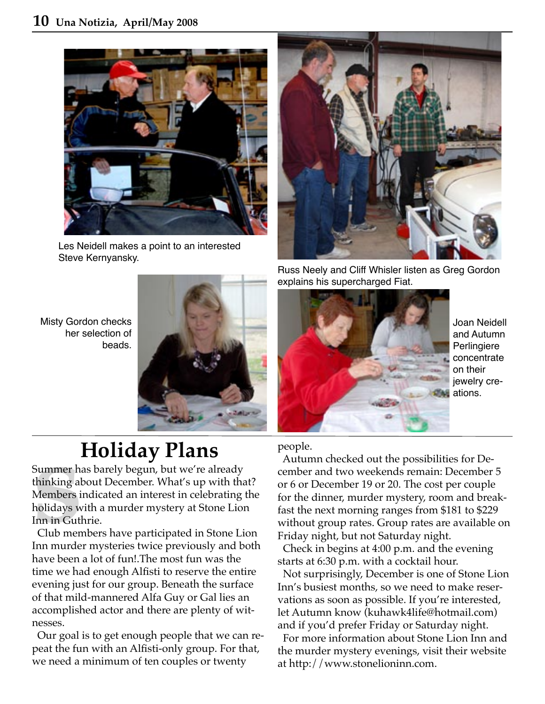

Les Neidell makes a point to an interested Steve Kernyansky.





# **Holiday Plans**

.<br>Summer ha<br>thinking al<br>Members i<br>holidays w<br>Inn murde<br>Inn murde Summer has barely begun, but we're already thinking about December. What's up with that? Members indicated an interest in celebrating the holidays with a murder mystery at Stone Lion Inn in Guthrie.

 Club members have participated in Stone Lion Inn murder mysteries twice previously and both have been a lot of fun!.The most fun was the time we had enough Alfisti to reserve the entire evening just for our group. Beneath the surface of that mild-mannered Alfa Guy or Gal lies an accomplished actor and there are plenty of witnesses.

 Our goal is to get enough people that we can repeat the fun with an Alfisti-only group. For that, we need a minimum of ten couples or twenty



Russ Neely and Cliff Whisler listen as Greg Gordon explains his supercharged Fiat.



Joan Neidell and Autumn Perlingiere concentrate on their jewelry creations.

#### people.

 Autumn checked out the possibilities for December and two weekends remain: December 5 or 6 or December 19 or 20. The cost per couple for the dinner, murder mystery, room and breakfast the next morning ranges from \$181 to \$229 without group rates. Group rates are available on Friday night, but not Saturday night.

 Check in begins at 4:00 p.m. and the evening starts at 6:30 p.m. with a cocktail hour.

 Not surprisingly, December is one of Stone Lion Inn's busiest months, so we need to make reservations as soon as possible. If you're interested, let Autumn know (kuhawk4life@hotmail.com) and if you'd prefer Friday or Saturday night.

 For more information about Stone Lion Inn and the murder mystery evenings, visit their website at http://www.stonelioninn.com.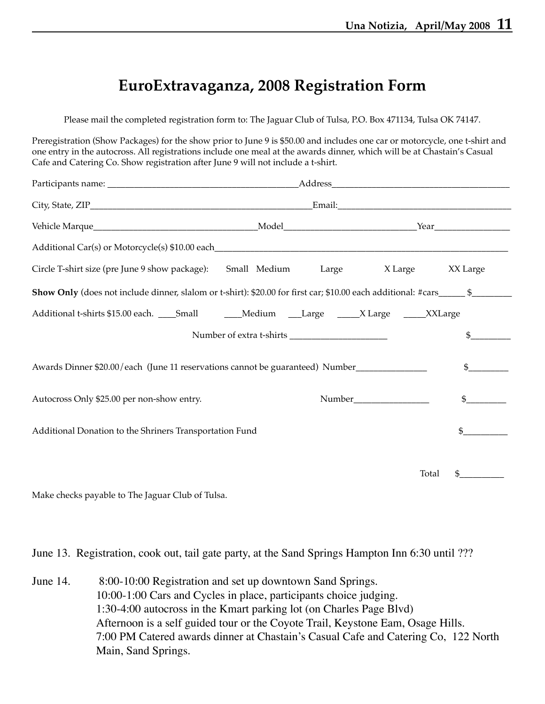### **EuroExtravaganza, 2008 Registration Form**

Please mail the completed registration form to: The Jaguar Club of Tulsa, P.O. Box 471134, Tulsa OK 74147.

Preregistration (Show Packages) for the show prior to June 9 is \$50.00 and includes one car or motorcycle, one t-shirt and one entry in the autocross. All registrations include one meal at the awards dinner, which will be at Chastain's Casual Cafe and Catering Co. Show registration after June 9 will not include a t-shirt.

| Circle T-shirt size (pre June 9 show package): Small Medium                                       |  | Large | X Large<br>XX Large |
|---------------------------------------------------------------------------------------------------|--|-------|---------------------|
|                                                                                                   |  |       |                     |
| Additional t-shirts \$15.00 each. ____Small _________Medium ____Large ______X Large ______XXLarge |  |       |                     |
|                                                                                                   |  |       | $\mathfrak{S}$      |
| Awards Dinner \$20.00/each (June 11 reservations cannot be guaranteed) Number<br>$\mathcal{S}$    |  |       |                     |
| Autocross Only \$25.00 per non-show entry.                                                        |  |       | $\mathfrak{S}^-$    |
| Additional Donation to the Shriners Transportation Fund                                           |  |       | $\mathfrak{L}$      |
|                                                                                                   |  |       | Total               |

Make checks payable to The Jaguar Club of Tulsa.

June 13. Registration, cook out, tail gate party, at the Sand Springs Hampton Inn 6:30 until ???

June 14. 8:00-10:00 Registration and set up downtown Sand Springs. 10:00-1:00 Cars and Cycles in place, participants choice judging. 1:30-4:00 autocross in the Kmart parking lot (on Charles Page Blvd) Afternoon is a self guided tour or the Coyote Trail, Keystone Eam, Osage Hills. 7:00 PM Catered awards dinner at Chastain's Casual Cafe and Catering Co, 122 North Main, Sand Springs.